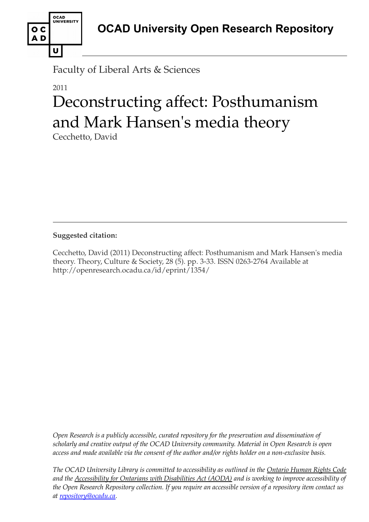

Faculty of Liberal Arts & Sciences

## 2011

# Deconstructing affect: Posthumanism and Mark Hansen's media theory

Cecchetto, David

**Suggested citation:** 

Cecchetto, David (2011) Deconstructing affect: Posthumanism and Mark Hansen's media theory. Theory, Culture & Society, 28 (5). pp. 3-33. ISSN 0263-2764 Available at http://openresearch.ocadu.ca/id/eprint/1354/

*Open Research is a publicly accessible, curated repository for the preservation and dissemination of scholarly and creative output of the OCAD University community. Material in Open Research is open access and made available via the consent of the author and/or rights holder on a non-exclusive basis.* 

*The OCAD University Library is committed to accessibility as outlined in the Ontario Human Rights Code and the Accessibility for Ontarians with Disabilities Act (AODA) and is working to improve accessibility of the Open Research Repository collection. If you require an accessible version of a repository item contact us at [repository@ocadu.ca.](mailto:repository@ocadu.ca)*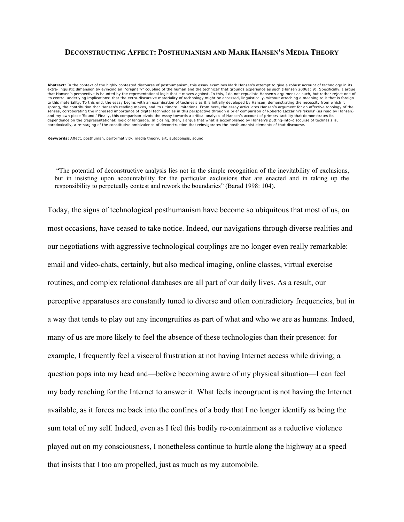#### **DECONSTRUCTING AFFECT: POSTHUMANISM AND MARK HANSEN'S MEDIA THEORY**

**Abstract:** In the context of the highly contested discourse of posthumanism, this essay examines Mark Hansen's attempt to give a robust account of technology in its<br>extra-linguistic dimension by evincing an `"originary" c that Hansen's perspective is haunted by the representational logic that it moves against. In this, I do not repudiate Hansen's argument as such, but rather reject one of its central underlying implications: that the extra-discursive materiality of technology might be accessed, linguistically, without attaching a meaning to it that is foreign to this materiality. To this end, the essay begins with an examination of technesis as it is initially developed by Hansen, demonstrating the necessity from which it sprang, the contribution that Hansen's reading makes, and its ultimate limitations. From here, the essay articulates Hansen's argument for an affective topology of the senses, corroborating the increased importance of digital technologies in this perspective through a brief comparison of Roberto Lazzarini's 'skulls' (as read by Hansen) and my own piece 'Sound.' Finally, this comparison pivots the essay towards a critical analysis of Hansen's account of primary tactility that demonstrates its<br>dependence on the (representational) logic of language. In clos paradoxically, a re-staging of the constitutive ambivalence of deconstruction that reinvigorates the posthumanist elements of that discourse.

**Keywords:** Affect, posthuman, performativity, media theory, art, autopoiesis, sound

"The potential of deconstructive analysis lies not in the simple recognition of the inevitability of exclusions, but in insisting upon accountability for the particular exclusions that are enacted and in taking up the responsibility to perpetually contest and rework the boundaries" (Barad 1998: 104).

Today, the signs of technological posthumanism have become so ubiquitous that most of us, on most occasions, have ceased to take notice. Indeed, our navigations through diverse realities and our negotiations with aggressive technological couplings are no longer even really remarkable: email and video-chats, certainly, but also medical imaging, online classes, virtual exercise routines, and complex relational databases are all part of our daily lives. As a result, our perceptive apparatuses are constantly tuned to diverse and often contradictory frequencies, but in a way that tends to play out any incongruities as part of what and who we are as humans. Indeed, many of us are more likely to feel the absence of these technologies than their presence: for example, I frequently feel a visceral frustration at not having Internet access while driving; a question pops into my head and—before becoming aware of my physical situation—I can feel my body reaching for the Internet to answer it. What feels incongruent is not having the Internet available, as it forces me back into the confines of a body that I no longer identify as being the sum total of my self. Indeed, even as I feel this bodily re-containment as a reductive violence played out on my consciousness, I nonetheless continue to hurtle along the highway at a speed that insists that I too am propelled, just as much as my automobile.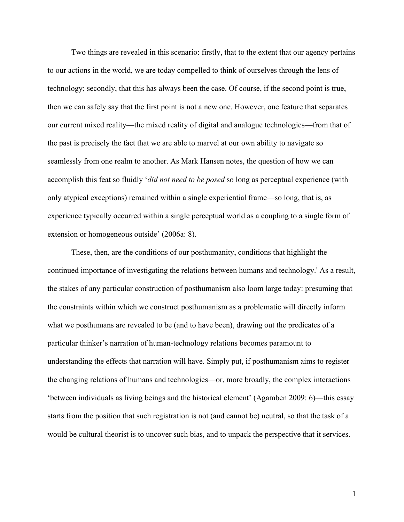Two things are revealed in this scenario: firstly, that to the extent that our agency pertains to our actions in the world, we are today compelled to think of ourselves through the lens of technology; secondly, that this has always been the case. Of course, if the second point is true, then we can safely say that the first point is not a new one. However, one feature that separates our current mixed reality—the mixed reality of digital and analogue technologies—from that of the past is precisely the fact that we are able to marvel at our own ability to navigate so seamlessly from one realm to another. As Mark Hansen notes, the question of how we can accomplish this feat so fluidly '*did not need to be posed* so long as perceptual experience (with only atypical exceptions) remained within a single experiential frame—so long, that is, as experience typically occurred within a single perceptual world as a coupling to a single form of extension or homogeneous outside' (2006a: 8).

These, then, are the conditions of our posthumanity, conditions that highlight the continued importance of investigating the relations between humans and technology.<sup>i</sup> As a result, the stakes of any particular construction of posthumanism also loom large today: presuming that the constraints within which we construct posthumanism as a problematic will directly inform what we posthumans are revealed to be (and to have been), drawing out the predicates of a particular thinker's narration of human-technology relations becomes paramount to understanding the effects that narration will have. Simply put, if posthumanism aims to register the changing relations of humans and technologies—or, more broadly, the complex interactions 'between individuals as living beings and the historical element' (Agamben 2009: 6)—this essay starts from the position that such registration is not (and cannot be) neutral, so that the task of a would be cultural theorist is to uncover such bias, and to unpack the perspective that it services.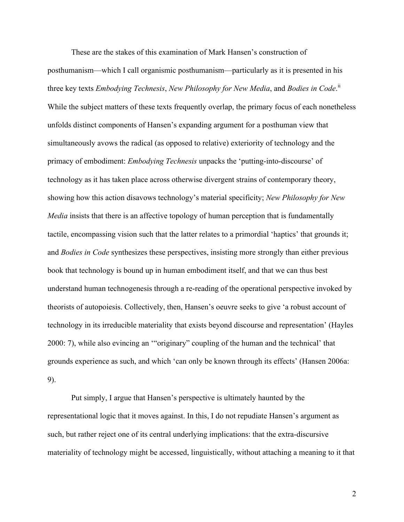These are the stakes of this examination of Mark Hansen's construction of posthumanism—which I call organismic posthumanism—particularly as it is presented in his three key texts *Embodying Technesis*, *New Philosophy for New Media*, and *Bodies in Code*. ii While the subject matters of these texts frequently overlap, the primary focus of each nonetheless unfolds distinct components of Hansen's expanding argument for a posthuman view that simultaneously avows the radical (as opposed to relative) exteriority of technology and the primacy of embodiment: *Embodying Technesis* unpacks the 'putting-into-discourse' of technology as it has taken place across otherwise divergent strains of contemporary theory, showing how this action disavows technology's material specificity; *New Philosophy for New Media* insists that there is an affective topology of human perception that is fundamentally tactile, encompassing vision such that the latter relates to a primordial 'haptics' that grounds it; and *Bodies in Code* synthesizes these perspectives, insisting more strongly than either previous book that technology is bound up in human embodiment itself, and that we can thus best understand human technogenesis through a re-reading of the operational perspective invoked by theorists of autopoiesis. Collectively, then, Hansen's oeuvre seeks to give 'a robust account of technology in its irreducible materiality that exists beyond discourse and representation' (Hayles 2000: 7), while also evincing an '"originary" coupling of the human and the technical' that grounds experience as such, and which 'can only be known through its effects' (Hansen 2006a: 9).

Put simply, I argue that Hansen's perspective is ultimately haunted by the representational logic that it moves against. In this, I do not repudiate Hansen's argument as such, but rather reject one of its central underlying implications: that the extra-discursive materiality of technology might be accessed, linguistically, without attaching a meaning to it that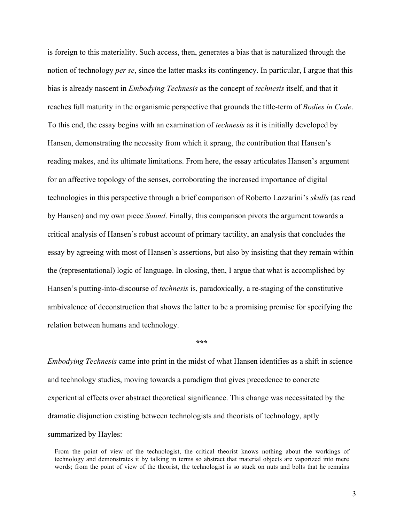is foreign to this materiality. Such access, then, generates a bias that is naturalized through the notion of technology *per se*, since the latter masks its contingency. In particular, I argue that this bias is already nascent in *Embodying Technesis* as the concept of *technesis* itself, and that it reaches full maturity in the organismic perspective that grounds the title-term of *Bodies in Code*. To this end, the essay begins with an examination of *technesis* as it is initially developed by Hansen, demonstrating the necessity from which it sprang, the contribution that Hansen's reading makes, and its ultimate limitations. From here, the essay articulates Hansen's argument for an affective topology of the senses, corroborating the increased importance of digital technologies in this perspective through a brief comparison of Roberto Lazzarini's *skulls* (as read by Hansen) and my own piece *Sound*. Finally, this comparison pivots the argument towards a critical analysis of Hansen's robust account of primary tactility, an analysis that concludes the essay by agreeing with most of Hansen's assertions, but also by insisting that they remain within the (representational) logic of language. In closing, then, I argue that what is accomplished by Hansen's putting-into-discourse of *technesis* is, paradoxically, a re-staging of the constitutive ambivalence of deconstruction that shows the latter to be a promising premise for specifying the relation between humans and technology.

#### **\*\*\***

*Embodying Technesis* came into print in the midst of what Hansen identifies as a shift in science and technology studies, moving towards a paradigm that gives precedence to concrete experiential effects over abstract theoretical significance. This change was necessitated by the dramatic disjunction existing between technologists and theorists of technology, aptly summarized by Hayles:

From the point of view of the technologist, the critical theorist knows nothing about the workings of technology and demonstrates it by talking in terms so abstract that material objects are vaporized into mere words; from the point of view of the theorist, the technologist is so stuck on nuts and bolts that he remains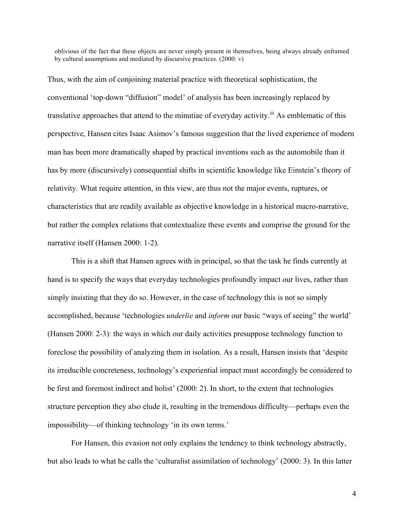oblivious of the fact that these objects are never simply present in themselves, being always already enframed by cultural assumptions and mediated by discursive practices. (2000: v)

Thus, with the aim of conjoining material practice with theoretical sophistication, the conventional 'top-down "diffusion" model' of analysis has been increasingly replaced by translative approaches that attend to the minutiae of everyday activity.<sup>iii</sup> As emblematic of this perspective, Hansen cites Isaac Asimov's famous suggestion that the lived experience of modern man has been more dramatically shaped by practical inventions such as the automobile than it has by more (discursively) consequential shifts in scientific knowledge like Einstein's theory of relativity. What require attention, in this view, are thus not the major events, ruptures, or characteristics that are readily available as objective knowledge in a historical macro-narrative, but rather the complex relations that contextualize these events and comprise the ground for the narrative itself (Hansen 2000: 1-2).

This is a shift that Hansen agrees with in principal, so that the task he finds currently at hand is to specify the ways that everyday technologies profoundly impact our lives, rather than simply insisting that they do so. However, in the case of technology this is not so simply accomplished, because 'technologies *underlie* and *inform* our basic "ways of seeing" the world' (Hansen 2000: 2-3): the ways in which our daily activities presuppose technology function to foreclose the possibility of analyzing them in isolation. As a result, Hansen insists that 'despite its irreducible concreteness, technology's experiential impact must accordingly be considered to be first and foremost indirect and holist' (2000: 2). In short, to the extent that technologies structure perception they also elude it, resulting in the tremendous difficulty—perhaps even the impossibility—of thinking technology 'in its own terms.'

For Hansen, this evasion not only explains the tendency to think technology abstractly, but also leads to what he calls the 'culturalist assimilation of technology' (2000: 3). In this latter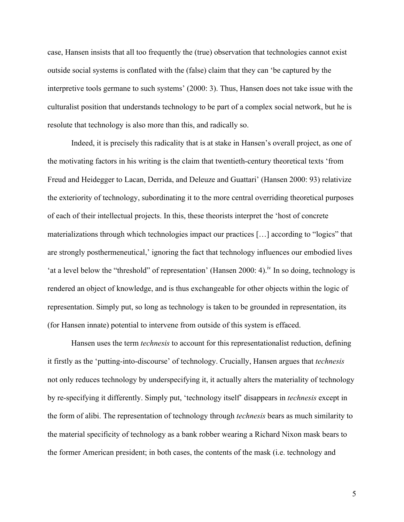case, Hansen insists that all too frequently the (true) observation that technologies cannot exist outside social systems is conflated with the (false) claim that they can 'be captured by the interpretive tools germane to such systems' (2000: 3). Thus, Hansen does not take issue with the culturalist position that understands technology to be part of a complex social network, but he is resolute that technology is also more than this, and radically so.

Indeed, it is precisely this radicality that is at stake in Hansen's overall project, as one of the motivating factors in his writing is the claim that twentieth-century theoretical texts 'from Freud and Heidegger to Lacan, Derrida, and Deleuze and Guattari' (Hansen 2000: 93) relativize the exteriority of technology, subordinating it to the more central overriding theoretical purposes of each of their intellectual projects. In this, these theorists interpret the 'host of concrete materializations through which technologies impact our practices […] according to "logics" that are strongly posthermeneutical,' ignoring the fact that technology influences our embodied lives 'at a level below the "threshold" of representation' (Hansen 2000: 4).<sup>iv</sup> In so doing, technology is rendered an object of knowledge, and is thus exchangeable for other objects within the logic of representation. Simply put, so long as technology is taken to be grounded in representation, its (for Hansen innate) potential to intervene from outside of this system is effaced.

Hansen uses the term *technesis* to account for this representationalist reduction, defining it firstly as the 'putting-into-discourse' of technology. Crucially, Hansen argues that *technesis*  not only reduces technology by underspecifying it, it actually alters the materiality of technology by re-specifying it differently. Simply put, 'technology itself' disappears in *technesis* except in the form of alibi. The representation of technology through *technesis* bears as much similarity to the material specificity of technology as a bank robber wearing a Richard Nixon mask bears to the former American president; in both cases, the contents of the mask (i.e. technology and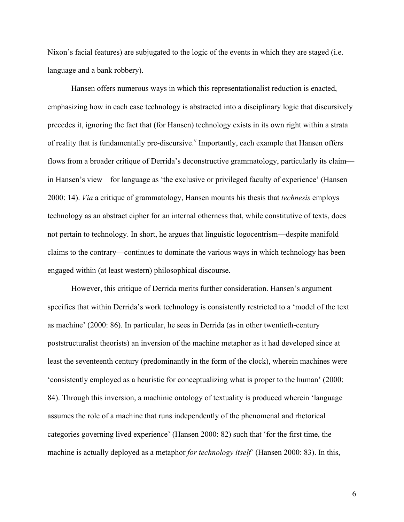Nixon's facial features) are subjugated to the logic of the events in which they are staged (i.e. language and a bank robbery).

Hansen offers numerous ways in which this representationalist reduction is enacted, emphasizing how in each case technology is abstracted into a disciplinary logic that discursively precedes it, ignoring the fact that (for Hansen) technology exists in its own right within a strata of reality that is fundamentally pre-discursive.<sup>V</sup> Importantly, each example that Hansen offers flows from a broader critique of Derrida's deconstructive grammatology, particularly its claim in Hansen's view—for language as 'the exclusive or privileged faculty of experience' (Hansen 2000: 14). *Via* a critique of grammatology, Hansen mounts his thesis that *technesis* employs technology as an abstract cipher for an internal otherness that, while constitutive of texts, does not pertain to technology. In short, he argues that linguistic logocentrism—despite manifold claims to the contrary—continues to dominate the various ways in which technology has been engaged within (at least western) philosophical discourse.

However, this critique of Derrida merits further consideration. Hansen's argument specifies that within Derrida's work technology is consistently restricted to a 'model of the text as machine' (2000: 86). In particular, he sees in Derrida (as in other twentieth-century poststructuralist theorists) an inversion of the machine metaphor as it had developed since at least the seventeenth century (predominantly in the form of the clock), wherein machines were 'consistently employed as a heuristic for conceptualizing what is proper to the human' (2000: 84). Through this inversion, a machinic ontology of textuality is produced wherein 'language assumes the role of a machine that runs independently of the phenomenal and rhetorical categories governing lived experience' (Hansen 2000: 82) such that 'for the first time, the machine is actually deployed as a metaphor *for technology itself*' (Hansen 2000: 83). In this,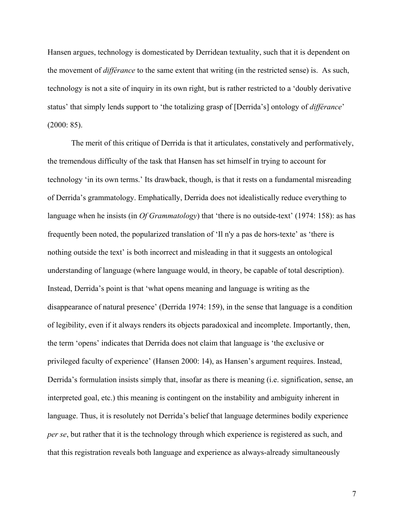Hansen argues, technology is domesticated by Derridean textuality, such that it is dependent on the movement of *différance* to the same extent that writing (in the restricted sense) is. As such, technology is not a site of inquiry in its own right, but is rather restricted to a 'doubly derivative status' that simply lends support to 'the totalizing grasp of [Derrida's] ontology of *différance*' (2000: 85).

The merit of this critique of Derrida is that it articulates, constatively and performatively, the tremendous difficulty of the task that Hansen has set himself in trying to account for technology 'in its own terms.' Its drawback, though, is that it rests on a fundamental misreading of Derrida's grammatology. Emphatically, Derrida does not idealistically reduce everything to language when he insists (in *Of Grammatology*) that 'there is no outside-text' (1974: 158): as has frequently been noted, the popularized translation of 'Il n'y a pas de hors-texte' as 'there is nothing outside the text' is both incorrect and misleading in that it suggests an ontological understanding of language (where language would, in theory, be capable of total description). Instead, Derrida's point is that 'what opens meaning and language is writing as the disappearance of natural presence' (Derrida 1974: 159), in the sense that language is a condition of legibility, even if it always renders its objects paradoxical and incomplete. Importantly, then, the term 'opens' indicates that Derrida does not claim that language is 'the exclusive or privileged faculty of experience' (Hansen 2000: 14), as Hansen's argument requires. Instead, Derrida's formulation insists simply that, insofar as there is meaning (i.e. signification, sense, an interpreted goal, etc.) this meaning is contingent on the instability and ambiguity inherent in language. Thus, it is resolutely not Derrida's belief that language determines bodily experience *per se*, but rather that it is the technology through which experience is registered as such, and that this registration reveals both language and experience as always-already simultaneously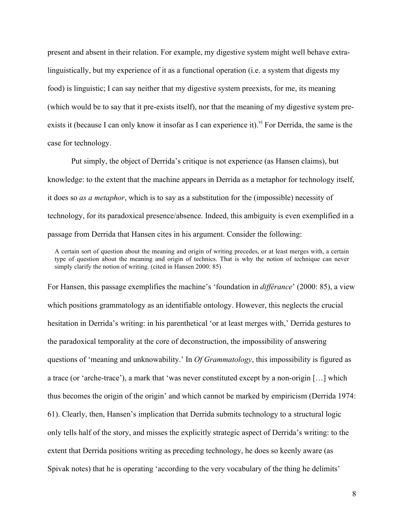present and absent in their relation. For example, my digestive system might well behave extralinguistically, but my experience of it as a functional operation (i.e. a system that digests my food) is linguistic; I can say neither that my digestive system preexists, for me, its meaning (which would be to say that it pre-exists itself), nor that the meaning of my digestive system preexists it (because I can only know it insofar as I can experience it).  $\delta^{V}$  For Derrida, the same is the case for technology.

Put simply, the object of Derrida's critique is not experience (as Hansen claims), but knowledge: to the extent that the machine appears in Derrida as a metaphor for technology itself, it does so *as a metaphor*, which is to say as a substitution for the (impossible) necessity of technology, for its paradoxical presence/absence. Indeed, this ambiguity is even exemplified in a passage from Derrida that Hansen cites in his argument. Consider the following:

For Hansen, this passage exemplifies the machine's 'foundation in *différance*' (2000: 85), a view which positions grammatology as an identifiable ontology. However, this neglects the crucial hesitation in Derrida's writing: in his parenthetical 'or at least merges with,' Derrida gestures to the paradoxical temporality at the core of deconstruction, the impossibility of answering questions of 'meaning and unknowability.' In *Of Grammatology*, this impossibility is figured as a trace (or 'arche-trace'), a mark that 'was never constituted except by a non-origin […] which thus becomes the origin of the origin' and which cannot be marked by empiricism (Derrida 1974: 61). Clearly, then, Hansen's implication that Derrida submits technology to a structural logic only tells half of the story, and misses the explicitly strategic aspect of Derrida's writing: to the extent that Derrida positions writing as preceding technology, he does so keenly aware (as Spivak notes) that he is operating 'according to the very vocabulary of the thing he delimits'

A certain sort of question about the meaning and origin of writing precedes, or at least merges with, a certain type of question about the meaning and origin of technics. That is why the notion of technique can never simply clarify the notion of writing. (cited in Hansen 2000: 85)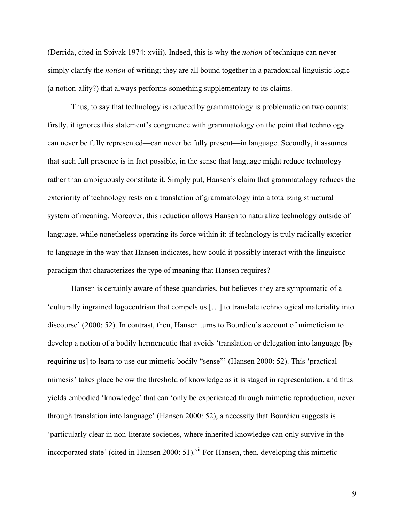(Derrida, cited in Spivak 1974: xviii). Indeed, this is why the *notion* of technique can never simply clarify the *notion* of writing; they are all bound together in a paradoxical linguistic logic (a notion-ality?) that always performs something supplementary to its claims.

Thus, to say that technology is reduced by grammatology is problematic on two counts: firstly, it ignores this statement's congruence with grammatology on the point that technology can never be fully represented—can never be fully present—in language. Secondly, it assumes that such full presence is in fact possible, in the sense that language might reduce technology rather than ambiguously constitute it. Simply put, Hansen's claim that grammatology reduces the exteriority of technology rests on a translation of grammatology into a totalizing structural system of meaning. Moreover, this reduction allows Hansen to naturalize technology outside of language, while nonetheless operating its force within it: if technology is truly radically exterior to language in the way that Hansen indicates, how could it possibly interact with the linguistic paradigm that characterizes the type of meaning that Hansen requires?

Hansen is certainly aware of these quandaries, but believes they are symptomatic of a 'culturally ingrained logocentrism that compels us […] to translate technological materiality into discourse' (2000: 52). In contrast, then, Hansen turns to Bourdieu's account of mimeticism to develop a notion of a bodily hermeneutic that avoids 'translation or delegation into language [by requiring us] to learn to use our mimetic bodily "sense"' (Hansen 2000: 52). This 'practical mimesis' takes place below the threshold of knowledge as it is staged in representation, and thus yields embodied 'knowledge' that can 'only be experienced through mimetic reproduction, never through translation into language' (Hansen 2000: 52), a necessity that Bourdieu suggests is 'particularly clear in non-literate societies, where inherited knowledge can only survive in the incorporated state' (cited in Hansen 2000: 51).<sup>vii</sup> For Hansen, then, developing this mimetic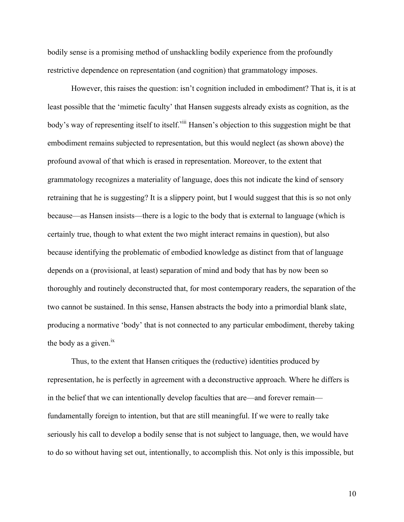bodily sense is a promising method of unshackling bodily experience from the profoundly restrictive dependence on representation (and cognition) that grammatology imposes.

However, this raises the question: isn't cognition included in embodiment? That is, it is at least possible that the 'mimetic faculty' that Hansen suggests already exists as cognition, as the body's way of representing itself to itself.<sup>viii</sup> Hansen's objection to this suggestion might be that embodiment remains subjected to representation, but this would neglect (as shown above) the profound avowal of that which is erased in representation. Moreover, to the extent that grammatology recognizes a materiality of language, does this not indicate the kind of sensory retraining that he is suggesting? It is a slippery point, but I would suggest that this is so not only because—as Hansen insists—there is a logic to the body that is external to language (which is certainly true, though to what extent the two might interact remains in question), but also because identifying the problematic of embodied knowledge as distinct from that of language depends on a (provisional, at least) separation of mind and body that has by now been so thoroughly and routinely deconstructed that, for most contemporary readers, the separation of the two cannot be sustained. In this sense, Hansen abstracts the body into a primordial blank slate, producing a normative 'body' that is not connected to any particular embodiment, thereby taking the body as a given. $^{ix}$ 

Thus, to the extent that Hansen critiques the (reductive) identities produced by representation, he is perfectly in agreement with a deconstructive approach. Where he differs is in the belief that we can intentionally develop faculties that are—and forever remain fundamentally foreign to intention, but that are still meaningful. If we were to really take seriously his call to develop a bodily sense that is not subject to language, then, we would have to do so without having set out, intentionally, to accomplish this. Not only is this impossible, but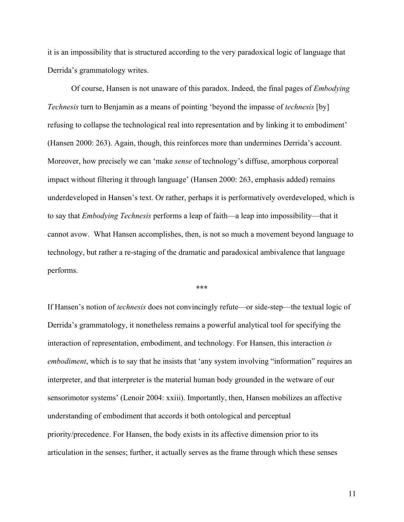it is an impossibility that is structured according to the very paradoxical logic of language that Derrida's grammatology writes.

Of course, Hansen is not unaware of this paradox. Indeed, the final pages of *Embodying Technesis* turn to Benjamin as a means of pointing 'beyond the impasse of *technesis* [by] refusing to collapse the technological real into representation and by linking it to embodiment' (Hansen 2000: 263). Again, though, this reinforces more than undermines Derrida's account. Moreover, how precisely we can 'make *sense* of technology's diffuse, amorphous corporeal impact without filtering it through language' (Hansen 2000: 263, emphasis added) remains underdeveloped in Hansen's text. Or rather, perhaps it is performatively overdeveloped, which is to say that *Embodying Technesis* performs a leap of faith—a leap into impossibility—that it cannot avow. What Hansen accomplishes, then, is not so much a movement beyond language to technology, but rather a re-staging of the dramatic and paradoxical ambivalence that language performs.

**\*\*\***

If Hansen's notion of *technesis* does not convincingly refute—or side-step—the textual logic of Derrida's grammatology, it nonetheless remains a powerful analytical tool for specifying the interaction of representation, embodiment, and technology. For Hansen, this interaction *is embodiment*, which is to say that he insists that 'any system involving "information" requires an interpreter, and that interpreter is the material human body grounded in the wetware of our sensorimotor systems' (Lenoir 2004: xxiii). Importantly, then, Hansen mobilizes an affective understanding of embodiment that accords it both ontological and perceptual priority/precedence. For Hansen, the body exists in its affective dimension prior to its articulation in the senses; further, it actually serves as the frame through which these senses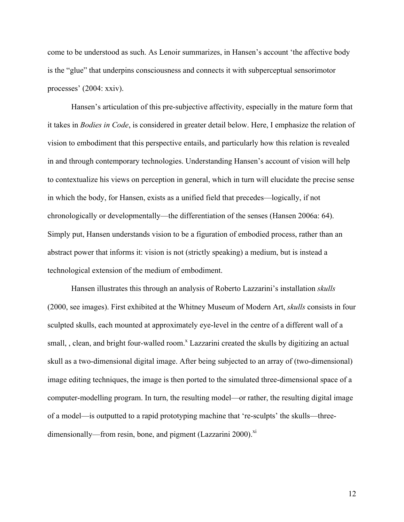come to be understood as such. As Lenoir summarizes, in Hansen's account 'the affective body is the "glue" that underpins consciousness and connects it with subperceptual sensorimotor processes' (2004: xxiv).

Hansen's articulation of this pre-subjective affectivity, especially in the mature form that it takes in *Bodies in Code*, is considered in greater detail below. Here, I emphasize the relation of vision to embodiment that this perspective entails, and particularly how this relation is revealed in and through contemporary technologies. Understanding Hansen's account of vision will help to contextualize his views on perception in general, which in turn will elucidate the precise sense in which the body, for Hansen, exists as a unified field that precedes—logically, if not chronologically or developmentally—the differentiation of the senses (Hansen 2006a: 64). Simply put, Hansen understands vision to be a figuration of embodied process, rather than an abstract power that informs it: vision is not (strictly speaking) a medium, but is instead a technological extension of the medium of embodiment.

Hansen illustrates this through an analysis of Roberto Lazzarini's installation *skulls* (2000, see images). First exhibited at the Whitney Museum of Modern Art, *skulls* consists in four sculpted skulls, each mounted at approximately eye-level in the centre of a different wall of a small, , clean, and bright four-walled room.<sup>x</sup> Lazzarini created the skulls by digitizing an actual skull as a two-dimensional digital image. After being subjected to an array of (two-dimensional) image editing techniques, the image is then ported to the simulated three-dimensional space of a computer-modelling program. In turn, the resulting model—or rather, the resulting digital image of a model—is outputted to a rapid prototyping machine that 're-sculpts' the skulls—threedimensionally—from resin, bone, and pigment (Lazzarini 2000).<sup>xi</sup>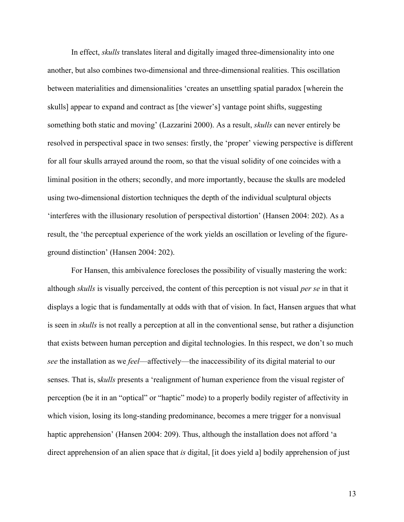In effect, *skulls* translates literal and digitally imaged three-dimensionality into one another, but also combines two-dimensional and three-dimensional realities. This oscillation between materialities and dimensionalities 'creates an unsettling spatial paradox [wherein the skulls] appear to expand and contract as [the viewer's] vantage point shifts, suggesting something both static and moving' (Lazzarini 2000). As a result, *skulls* can never entirely be resolved in perspectival space in two senses: firstly, the 'proper' viewing perspective is different for all four skulls arrayed around the room, so that the visual solidity of one coincides with a liminal position in the others; secondly, and more importantly, because the skulls are modeled using two-dimensional distortion techniques the depth of the individual sculptural objects 'interferes with the illusionary resolution of perspectival distortion' (Hansen 2004: 202). As a result, the 'the perceptual experience of the work yields an oscillation or leveling of the figureground distinction' (Hansen 2004: 202).

For Hansen, this ambivalence forecloses the possibility of visually mastering the work: although *skulls* is visually perceived, the content of this perception is not visual *per se* in that it displays a logic that is fundamentally at odds with that of vision. In fact, Hansen argues that what is seen in *skulls* is not really a perception at all in the conventional sense, but rather a disjunction that exists between human perception and digital technologies. In this respect, we don't so much *see* the installation as we *feel*—affectively—the inaccessibility of its digital material to our senses. That is, s*kulls* presents a 'realignment of human experience from the visual register of perception (be it in an "optical" or "haptic" mode) to a properly bodily register of affectivity in which vision, losing its long-standing predominance, becomes a mere trigger for a nonvisual haptic apprehension' (Hansen 2004: 209). Thus, although the installation does not afford 'a direct apprehension of an alien space that *is* digital, [it does yield a] bodily apprehension of just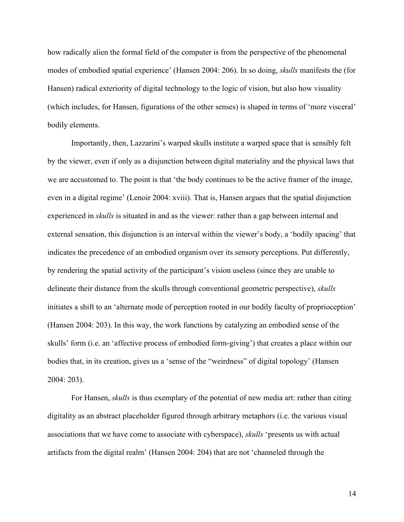how radically alien the formal field of the computer is from the perspective of the phenomenal modes of embodied spatial experience' (Hansen 2004: 206). In so doing, *skulls* manifests the (for Hansen) radical exteriority of digital technology to the logic of vision, but also how visuality (which includes, for Hansen, figurations of the other senses) is shaped in terms of 'more visceral' bodily elements.

Importantly, then, Lazzarini's warped skulls institute a warped space that is sensibly felt by the viewer, even if only as a disjunction between digital materiality and the physical laws that we are accustomed to. The point is that 'the body continues to be the active framer of the image, even in a digital regime' (Lenoir 2004: xviii). That is, Hansen argues that the spatial disjunction experienced in *skulls* is situated in and as the viewer: rather than a gap between internal and external sensation, this disjunction is an interval within the viewer's body, a 'bodily spacing' that indicates the precedence of an embodied organism over its sensory perceptions. Put differently, by rendering the spatial activity of the participant's vision useless (since they are unable to delineate their distance from the skulls through conventional geometric perspective), *skulls* initiates a shift to an 'alternate mode of perception rooted in our bodily faculty of proprioception' (Hansen 2004: 203). In this way, the work functions by catalyzing an embodied sense of the skulls' form (i.e. an 'affective process of embodied form-giving') that creates a place within our bodies that, in its creation, gives us a 'sense of the "weirdness" of digital topology' (Hansen 2004: 203).

For Hansen, *skulls* is thus exemplary of the potential of new media art: rather than citing digitality as an abstract placeholder figured through arbitrary metaphors (i.e. the various visual associations that we have come to associate with cyberspace), *skulls* 'presents us with actual artifacts from the digital realm' (Hansen 2004: 204) that are not 'channeled through the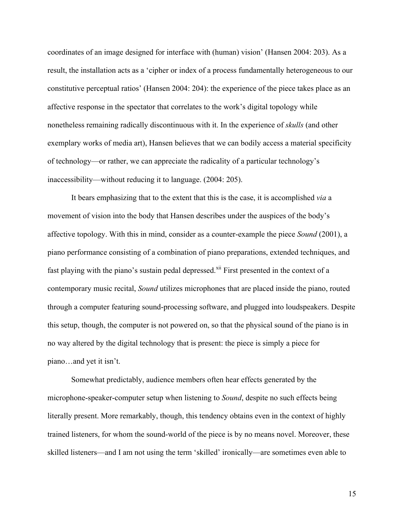coordinates of an image designed for interface with (human) vision' (Hansen 2004: 203). As a result, the installation acts as a 'cipher or index of a process fundamentally heterogeneous to our constitutive perceptual ratios' (Hansen 2004: 204): the experience of the piece takes place as an affective response in the spectator that correlates to the work's digital topology while nonetheless remaining radically discontinuous with it. In the experience of *skulls* (and other exemplary works of media art), Hansen believes that we can bodily access a material specificity of technology—or rather, we can appreciate the radicality of a particular technology's inaccessibility—without reducing it to language. (2004: 205).

It bears emphasizing that to the extent that this is the case, it is accomplished *via* a movement of vision into the body that Hansen describes under the auspices of the body's affective topology. With this in mind, consider as a counter-example the piece *Sound* (2001), a piano performance consisting of a combination of piano preparations, extended techniques, and fast playing with the piano's sustain pedal depressed.<sup>xii</sup> First presented in the context of a contemporary music recital, *Sound* utilizes microphones that are placed inside the piano, routed through a computer featuring sound-processing software, and plugged into loudspeakers. Despite this setup, though, the computer is not powered on, so that the physical sound of the piano is in no way altered by the digital technology that is present: the piece is simply a piece for piano…and yet it isn't.

Somewhat predictably, audience members often hear effects generated by the microphone-speaker-computer setup when listening to *Sound*, despite no such effects being literally present. More remarkably, though, this tendency obtains even in the context of highly trained listeners, for whom the sound-world of the piece is by no means novel. Moreover, these skilled listeners—and I am not using the term 'skilled' ironically—are sometimes even able to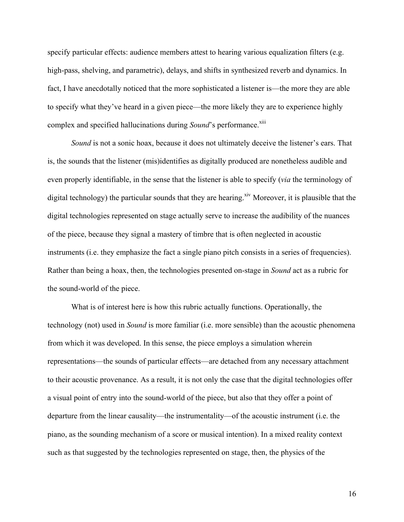specify particular effects: audience members attest to hearing various equalization filters (e.g. high-pass, shelving, and parametric), delays, and shifts in synthesized reverb and dynamics. In fact, I have anecdotally noticed that the more sophisticated a listener is—the more they are able to specify what they've heard in a given piece—the more likely they are to experience highly complex and specified hallucinations during *Sound*'s performance.<sup>xiii</sup>

*Sound* is not a sonic hoax, because it does not ultimately deceive the listener's ears. That is, the sounds that the listener (mis)identifies as digitally produced are nonetheless audible and even properly identifiable, in the sense that the listener is able to specify (*via* the terminology of digital technology) the particular sounds that they are hearing.<sup>xiv</sup> Moreover, it is plausible that the digital technologies represented on stage actually serve to increase the audibility of the nuances of the piece, because they signal a mastery of timbre that is often neglected in acoustic instruments (i.e. they emphasize the fact a single piano pitch consists in a series of frequencies). Rather than being a hoax, then, the technologies presented on-stage in *Sound* act as a rubric for the sound-world of the piece.

What is of interest here is how this rubric actually functions. Operationally, the technology (not) used in *Sound* is more familiar (i.e. more sensible) than the acoustic phenomena from which it was developed. In this sense, the piece employs a simulation wherein representations—the sounds of particular effects—are detached from any necessary attachment to their acoustic provenance. As a result, it is not only the case that the digital technologies offer a visual point of entry into the sound-world of the piece, but also that they offer a point of departure from the linear causality—the instrumentality—of the acoustic instrument (i.e. the piano, as the sounding mechanism of a score or musical intention). In a mixed reality context such as that suggested by the technologies represented on stage, then, the physics of the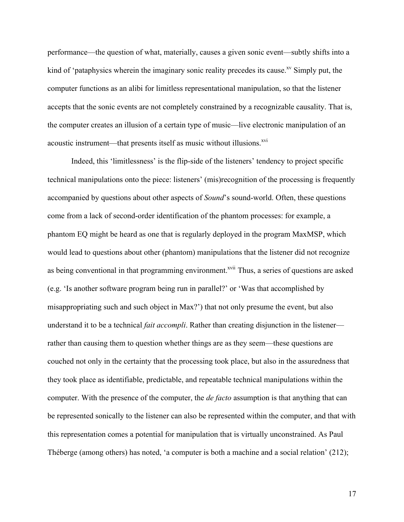performance—the question of what, materially, causes a given sonic event—subtly shifts into a kind of 'pataphysics wherein the imaginary sonic reality precedes its cause.<sup>xv</sup> Simply put, the computer functions as an alibi for limitless representational manipulation, so that the listener accepts that the sonic events are not completely constrained by a recognizable causality. That is, the computer creates an illusion of a certain type of music—live electronic manipulation of an acoustic instrument—that presents itself as music without illusions.<sup>xvi</sup>

Indeed, this 'limitlessness' is the flip-side of the listeners' tendency to project specific technical manipulations onto the piece: listeners' (mis)recognition of the processing is frequently accompanied by questions about other aspects of *Sound*'s sound-world. Often, these questions come from a lack of second-order identification of the phantom processes: for example, a phantom EQ might be heard as one that is regularly deployed in the program MaxMSP, which would lead to questions about other (phantom) manipulations that the listener did not recognize as being conventional in that programming environment.<sup>xvii</sup> Thus, a series of questions are asked (e.g. 'Is another software program being run in parallel?' or 'Was that accomplished by misappropriating such and such object in Max?') that not only presume the event, but also understand it to be a technical *fait accompli*. Rather than creating disjunction in the listener rather than causing them to question whether things are as they seem—these questions are couched not only in the certainty that the processing took place, but also in the assuredness that they took place as identifiable, predictable, and repeatable technical manipulations within the computer. With the presence of the computer, the *de facto* assumption is that anything that can be represented sonically to the listener can also be represented within the computer, and that with this representation comes a potential for manipulation that is virtually unconstrained. As Paul Théberge (among others) has noted, 'a computer is both a machine and a social relation' (212);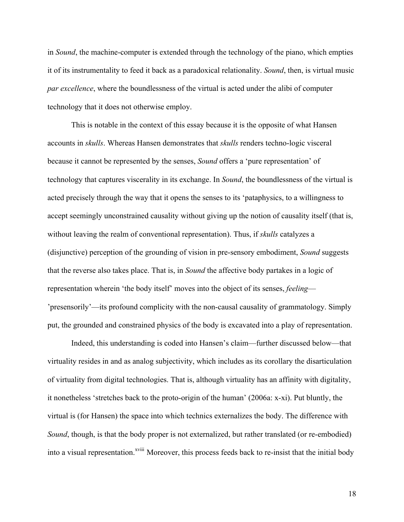in *Sound*, the machine-computer is extended through the technology of the piano, which empties it of its instrumentality to feed it back as a paradoxical relationality. *Sound*, then, is virtual music *par excellence*, where the boundlessness of the virtual is acted under the alibi of computer technology that it does not otherwise employ.

This is notable in the context of this essay because it is the opposite of what Hansen accounts in *skulls*. Whereas Hansen demonstrates that *skulls* renders techno-logic visceral because it cannot be represented by the senses, *Sound* offers a 'pure representation' of technology that captures viscerality in its exchange. In *Sound*, the boundlessness of the virtual is acted precisely through the way that it opens the senses to its 'pataphysics, to a willingness to accept seemingly unconstrained causality without giving up the notion of causality itself (that is, without leaving the realm of conventional representation). Thus, if *skulls* catalyzes a (disjunctive) perception of the grounding of vision in pre-sensory embodiment, *Sound* suggests that the reverse also takes place. That is, in *Sound* the affective body partakes in a logic of representation wherein 'the body itself' moves into the object of its senses, *feeling*— 'presensorily'—its profound complicity with the non-causal causality of grammatology. Simply put, the grounded and constrained physics of the body is excavated into a play of representation.

Indeed, this understanding is coded into Hansen's claim—further discussed below—that virtuality resides in and as analog subjectivity, which includes as its corollary the disarticulation of virtuality from digital technologies. That is, although virtuality has an affinity with digitality, it nonetheless 'stretches back to the proto-origin of the human' (2006a: x-xi). Put bluntly, the virtual is (for Hansen) the space into which technics externalizes the body. The difference with *Sound*, though, is that the body proper is not externalized, but rather translated (or re-embodied) into a visual representation.<sup>xviii</sup> Moreover, this process feeds back to re-insist that the initial body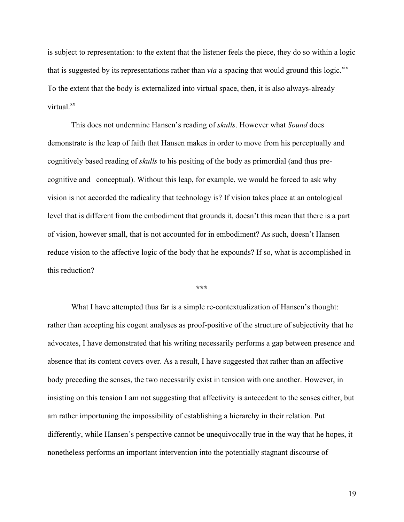is subject to representation: to the extent that the listener feels the piece, they do so within a logic that is suggested by its representations rather than *via* a spacing that would ground this logic.<sup>xix</sup> To the extent that the body is externalized into virtual space, then, it is also always-already virtual<sup>xx</sup>

This does not undermine Hansen's reading of *skulls*. However what *Sound* does demonstrate is the leap of faith that Hansen makes in order to move from his perceptually and cognitively based reading of *skulls* to his positing of the body as primordial (and thus precognitive and –conceptual). Without this leap, for example, we would be forced to ask why vision is not accorded the radicality that technology is? If vision takes place at an ontological level that is different from the embodiment that grounds it, doesn't this mean that there is a part of vision, however small, that is not accounted for in embodiment? As such, doesn't Hansen reduce vision to the affective logic of the body that he expounds? If so, what is accomplished in this reduction?

**\*\*\***

What I have attempted thus far is a simple re-contextualization of Hansen's thought: rather than accepting his cogent analyses as proof-positive of the structure of subjectivity that he advocates, I have demonstrated that his writing necessarily performs a gap between presence and absence that its content covers over. As a result, I have suggested that rather than an affective body preceding the senses, the two necessarily exist in tension with one another. However, in insisting on this tension I am not suggesting that affectivity is antecedent to the senses either, but am rather importuning the impossibility of establishing a hierarchy in their relation. Put differently, while Hansen's perspective cannot be unequivocally true in the way that he hopes, it nonetheless performs an important intervention into the potentially stagnant discourse of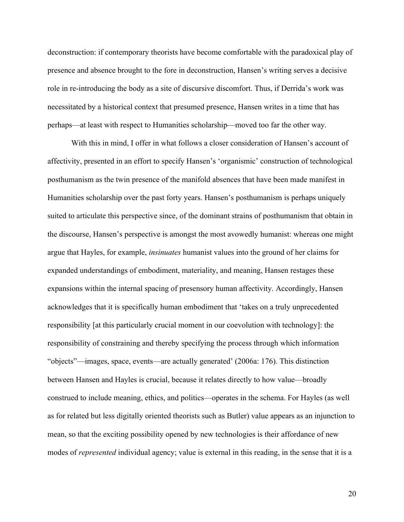deconstruction: if contemporary theorists have become comfortable with the paradoxical play of presence and absence brought to the fore in deconstruction, Hansen's writing serves a decisive role in re-introducing the body as a site of discursive discomfort. Thus, if Derrida's work was necessitated by a historical context that presumed presence, Hansen writes in a time that has perhaps—at least with respect to Humanities scholarship—moved too far the other way.

With this in mind, I offer in what follows a closer consideration of Hansen's account of affectivity, presented in an effort to specify Hansen's 'organismic' construction of technological posthumanism as the twin presence of the manifold absences that have been made manifest in Humanities scholarship over the past forty years. Hansen's posthumanism is perhaps uniquely suited to articulate this perspective since, of the dominant strains of posthumanism that obtain in the discourse, Hansen's perspective is amongst the most avowedly humanist: whereas one might argue that Hayles, for example, *insinuates* humanist values into the ground of her claims for expanded understandings of embodiment, materiality, and meaning, Hansen restages these expansions within the internal spacing of presensory human affectivity. Accordingly, Hansen acknowledges that it is specifically human embodiment that 'takes on a truly unprecedented responsibility [at this particularly crucial moment in our coevolution with technology]: the responsibility of constraining and thereby specifying the process through which information "objects"—images, space, events—are actually generated' (2006a: 176). This distinction between Hansen and Hayles is crucial, because it relates directly to how value—broadly construed to include meaning, ethics, and politics—operates in the schema. For Hayles (as well as for related but less digitally oriented theorists such as Butler) value appears as an injunction to mean, so that the exciting possibility opened by new technologies is their affordance of new modes of *represented* individual agency; value is external in this reading, in the sense that it is a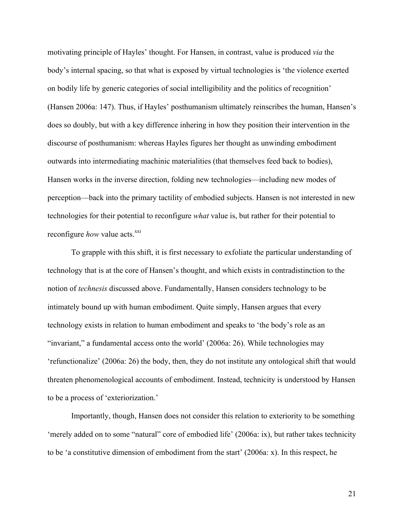motivating principle of Hayles' thought. For Hansen, in contrast, value is produced *via* the body's internal spacing, so that what is exposed by virtual technologies is 'the violence exerted on bodily life by generic categories of social intelligibility and the politics of recognition' (Hansen 2006a: 147). Thus, if Hayles' posthumanism ultimately reinscribes the human, Hansen's does so doubly, but with a key difference inhering in how they position their intervention in the discourse of posthumanism: whereas Hayles figures her thought as unwinding embodiment outwards into intermediating machinic materialities (that themselves feed back to bodies), Hansen works in the inverse direction, folding new technologies—including new modes of perception—back into the primary tactility of embodied subjects. Hansen is not interested in new technologies for their potential to reconfigure *what* value is, but rather for their potential to reconfigure *how* value acts.<sup>xxi</sup>

To grapple with this shift, it is first necessary to exfoliate the particular understanding of technology that is at the core of Hansen's thought, and which exists in contradistinction to the notion of *technesis* discussed above. Fundamentally, Hansen considers technology to be intimately bound up with human embodiment. Quite simply, Hansen argues that every technology exists in relation to human embodiment and speaks to 'the body's role as an "invariant," a fundamental access onto the world' (2006a: 26). While technologies may 'refunctionalize' (2006a: 26) the body, then, they do not institute any ontological shift that would threaten phenomenological accounts of embodiment. Instead, technicity is understood by Hansen to be a process of 'exteriorization.'

Importantly, though, Hansen does not consider this relation to exteriority to be something 'merely added on to some "natural" core of embodied life' (2006a: ix), but rather takes technicity to be 'a constitutive dimension of embodiment from the start' (2006a: x). In this respect, he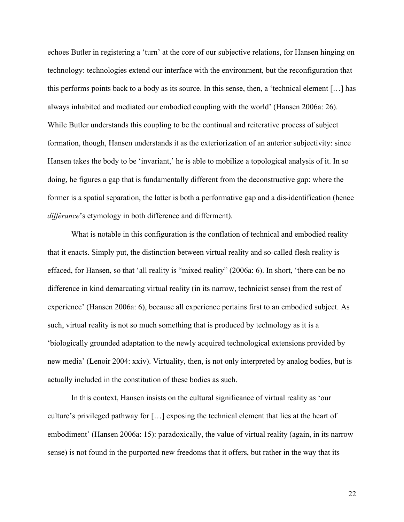echoes Butler in registering a 'turn' at the core of our subjective relations, for Hansen hinging on technology: technologies extend our interface with the environment, but the reconfiguration that this performs points back to a body as its source. In this sense, then, a 'technical element […] has always inhabited and mediated our embodied coupling with the world' (Hansen 2006a: 26). While Butler understands this coupling to be the continual and reiterative process of subject formation, though, Hansen understands it as the exteriorization of an anterior subjectivity: since Hansen takes the body to be 'invariant,' he is able to mobilize a topological analysis of it. In so doing, he figures a gap that is fundamentally different from the deconstructive gap: where the former is a spatial separation, the latter is both a performative gap and a dis-identification (hence *différance*'s etymology in both difference and differment).

What is notable in this configuration is the conflation of technical and embodied reality that it enacts. Simply put, the distinction between virtual reality and so-called flesh reality is effaced, for Hansen, so that 'all reality is "mixed reality" (2006a: 6). In short, 'there can be no difference in kind demarcating virtual reality (in its narrow, technicist sense) from the rest of experience' (Hansen 2006a: 6), because all experience pertains first to an embodied subject. As such, virtual reality is not so much something that is produced by technology as it is a 'biologically grounded adaptation to the newly acquired technological extensions provided by new media' (Lenoir 2004: xxiv). Virtuality, then, is not only interpreted by analog bodies, but is actually included in the constitution of these bodies as such.

In this context, Hansen insists on the cultural significance of virtual reality as 'our culture's privileged pathway for […] exposing the technical element that lies at the heart of embodiment' (Hansen 2006a: 15): paradoxically, the value of virtual reality (again, in its narrow sense) is not found in the purported new freedoms that it offers, but rather in the way that its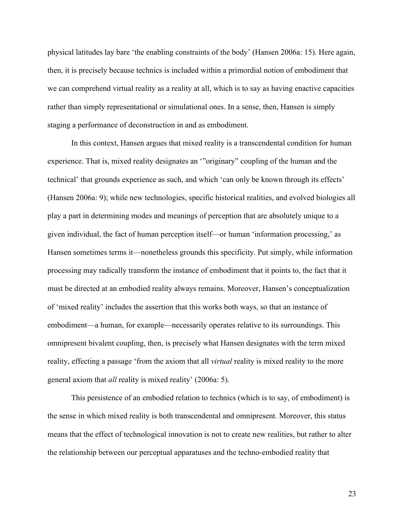physical latitudes lay bare 'the enabling constraints of the body' (Hansen 2006a: 15). Here again, then, it is precisely because technics is included within a primordial notion of embodiment that we can comprehend virtual reality as a reality at all, which is to say as having enactive capacities rather than simply representational or simulational ones. In a sense, then, Hansen is simply staging a performance of deconstruction in and as embodiment.

In this context, Hansen argues that mixed reality is a transcendental condition for human experience. That is, mixed reality designates an '"originary" coupling of the human and the technical' that grounds experience as such, and which 'can only be known through its effects' (Hansen 2006a: 9); while new technologies, specific historical realities, and evolved biologies all play a part in determining modes and meanings of perception that are absolutely unique to a given individual, the fact of human perception itself—or human 'information processing,' as Hansen sometimes terms it—nonetheless grounds this specificity. Put simply, while information processing may radically transform the instance of embodiment that it points to, the fact that it must be directed at an embodied reality always remains. Moreover, Hansen's conceptualization of 'mixed reality' includes the assertion that this works both ways, so that an instance of embodiment—a human, for example—necessarily operates relative to its surroundings. This omnipresent bivalent coupling, then, is precisely what Hansen designates with the term mixed reality, effecting a passage 'from the axiom that all *virtual* reality is mixed reality to the more general axiom that *all* reality is mixed reality' (2006a: 5).

This persistence of an embodied relation to technics (which is to say, of embodiment) is the sense in which mixed reality is both transcendental and omnipresent. Moreover, this status means that the effect of technological innovation is not to create new realities, but rather to alter the relationship between our perceptual apparatuses and the techno-embodied reality that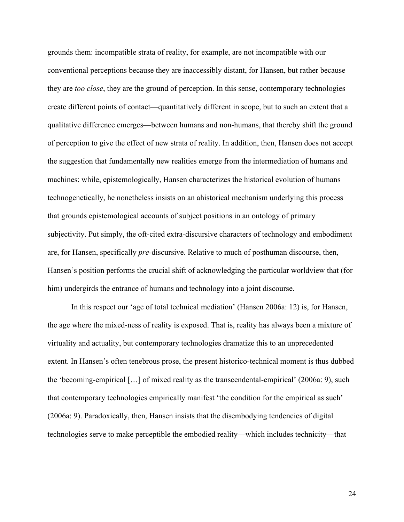grounds them: incompatible strata of reality, for example, are not incompatible with our conventional perceptions because they are inaccessibly distant, for Hansen, but rather because they are *too close*, they are the ground of perception. In this sense, contemporary technologies create different points of contact—quantitatively different in scope, but to such an extent that a qualitative difference emerges—between humans and non-humans, that thereby shift the ground of perception to give the effect of new strata of reality. In addition, then, Hansen does not accept the suggestion that fundamentally new realities emerge from the intermediation of humans and machines: while, epistemologically, Hansen characterizes the historical evolution of humans technogenetically, he nonetheless insists on an ahistorical mechanism underlying this process that grounds epistemological accounts of subject positions in an ontology of primary subjectivity. Put simply, the oft-cited extra-discursive characters of technology and embodiment are, for Hansen, specifically *pre*-discursive. Relative to much of posthuman discourse, then, Hansen's position performs the crucial shift of acknowledging the particular worldview that (for him) undergirds the entrance of humans and technology into a joint discourse.

In this respect our 'age of total technical mediation' (Hansen 2006a: 12) is, for Hansen, the age where the mixed-ness of reality is exposed. That is, reality has always been a mixture of virtuality and actuality, but contemporary technologies dramatize this to an unprecedented extent. In Hansen's often tenebrous prose, the present historico-technical moment is thus dubbed the 'becoming-empirical […] of mixed reality as the transcendental-empirical' (2006a: 9), such that contemporary technologies empirically manifest 'the condition for the empirical as such' (2006a: 9). Paradoxically, then, Hansen insists that the disembodying tendencies of digital technologies serve to make perceptible the embodied reality—which includes technicity—that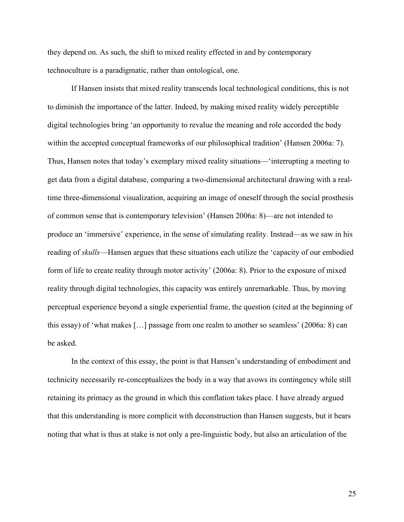they depend on. As such, the shift to mixed reality effected in and by contemporary technoculture is a paradigmatic, rather than ontological, one.

If Hansen insists that mixed reality transcends local technological conditions, this is not to diminish the importance of the latter. Indeed, by making mixed reality widely perceptible digital technologies bring 'an opportunity to revalue the meaning and role accorded the body within the accepted conceptual frameworks of our philosophical tradition' (Hansen 2006a: 7). Thus, Hansen notes that today's exemplary mixed reality situations—'interrupting a meeting to get data from a digital database, comparing a two-dimensional architectural drawing with a realtime three-dimensional visualization, acquiring an image of oneself through the social prosthesis of common sense that is contemporary television' (Hansen 2006a: 8)—are not intended to produce an 'immersive' experience, in the sense of simulating reality. Instead—as we saw in his reading of *skulls*—Hansen argues that these situations each utilize the 'capacity of our embodied form of life to create reality through motor activity' (2006a: 8). Prior to the exposure of mixed reality through digital technologies, this capacity was entirely unremarkable. Thus, by moving perceptual experience beyond a single experiential frame, the question (cited at the beginning of this essay) of 'what makes […] passage from one realm to another so seamless' (2006a: 8) can be asked.

In the context of this essay, the point is that Hansen's understanding of embodiment and technicity necessarily re-conceptualizes the body in a way that avows its contingency while still retaining its primacy as the ground in which this conflation takes place. I have already argued that this understanding is more complicit with deconstruction than Hansen suggests, but it bears noting that what is thus at stake is not only a pre-linguistic body, but also an articulation of the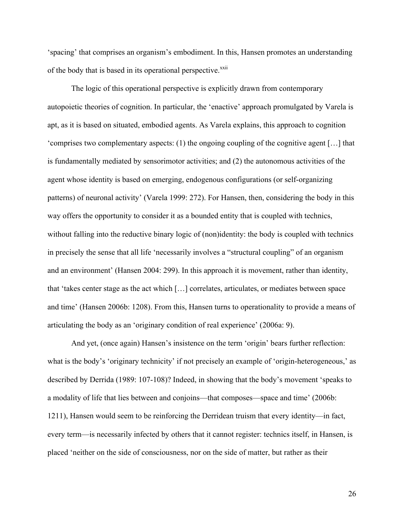'spacing' that comprises an organism's embodiment. In this, Hansen promotes an understanding of the body that is based in its operational perspective.<sup>xxii</sup>

The logic of this operational perspective is explicitly drawn from contemporary autopoietic theories of cognition. In particular, the 'enactive' approach promulgated by Varela is apt, as it is based on situated, embodied agents. As Varela explains, this approach to cognition 'comprises two complementary aspects: (1) the ongoing coupling of the cognitive agent […] that is fundamentally mediated by sensorimotor activities; and (2) the autonomous activities of the agent whose identity is based on emerging, endogenous configurations (or self-organizing patterns) of neuronal activity' (Varela 1999: 272). For Hansen, then, considering the body in this way offers the opportunity to consider it as a bounded entity that is coupled with technics, without falling into the reductive binary logic of (non)identity: the body is coupled with technics in precisely the sense that all life 'necessarily involves a "structural coupling" of an organism and an environment' (Hansen 2004: 299). In this approach it is movement, rather than identity, that 'takes center stage as the act which […] correlates, articulates, or mediates between space and time' (Hansen 2006b: 1208). From this, Hansen turns to operationality to provide a means of articulating the body as an 'originary condition of real experience' (2006a: 9).

And yet, (once again) Hansen's insistence on the term 'origin' bears further reflection: what is the body's 'originary technicity' if not precisely an example of 'origin-heterogeneous,' as described by Derrida (1989: 107-108)? Indeed, in showing that the body's movement 'speaks to a modality of life that lies between and conjoins—that composes—space and time' (2006b: 1211), Hansen would seem to be reinforcing the Derridean truism that every identity—in fact, every term—is necessarily infected by others that it cannot register: technics itself, in Hansen, is placed 'neither on the side of consciousness, nor on the side of matter, but rather as their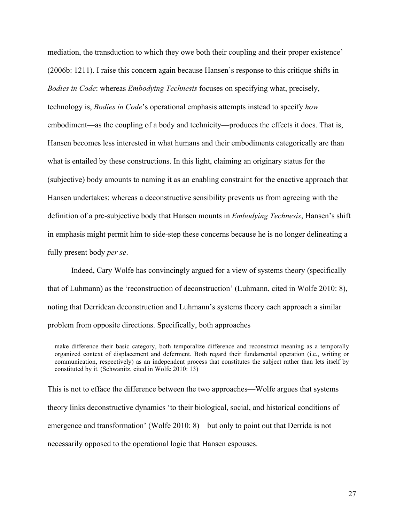mediation, the transduction to which they owe both their coupling and their proper existence' (2006b: 1211). I raise this concern again because Hansen's response to this critique shifts in *Bodies in Code*: whereas *Embodying Technesis* focuses on specifying what, precisely, technology is, *Bodies in Code*'s operational emphasis attempts instead to specify *how* embodiment—as the coupling of a body and technicity—produces the effects it does. That is, Hansen becomes less interested in what humans and their embodiments categorically are than what is entailed by these constructions. In this light, claiming an originary status for the (subjective) body amounts to naming it as an enabling constraint for the enactive approach that Hansen undertakes: whereas a deconstructive sensibility prevents us from agreeing with the definition of a pre-subjective body that Hansen mounts in *Embodying Technesis*, Hansen's shift in emphasis might permit him to side-step these concerns because he is no longer delineating a fully present body *per se*.

Indeed, Cary Wolfe has convincingly argued for a view of systems theory (specifically that of Luhmann) as the 'reconstruction of deconstruction' (Luhmann, cited in Wolfe 2010: 8), noting that Derridean deconstruction and Luhmann's systems theory each approach a similar problem from opposite directions. Specifically, both approaches

This is not to efface the difference between the two approaches—Wolfe argues that systems theory links deconstructive dynamics 'to their biological, social, and historical conditions of emergence and transformation' (Wolfe 2010: 8)—but only to point out that Derrida is not necessarily opposed to the operational logic that Hansen espouses.

make difference their basic category, both temporalize difference and reconstruct meaning as a temporally organized context of displacement and deferment. Both regard their fundamental operation (i.e., writing or communication, respectively) as an independent process that constitutes the subject rather than lets itself by constituted by it. (Schwanitz, cited in Wolfe 2010: 13)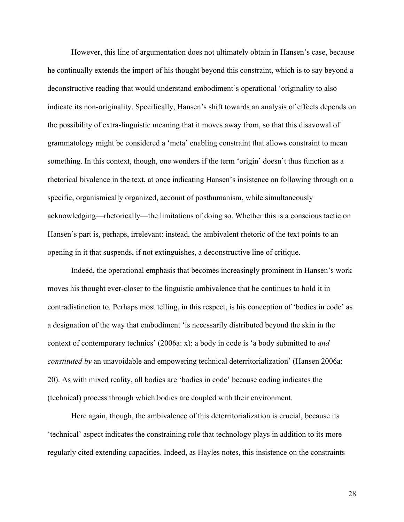However, this line of argumentation does not ultimately obtain in Hansen's case, because he continually extends the import of his thought beyond this constraint, which is to say beyond a deconstructive reading that would understand embodiment's operational 'originality to also indicate its non-originality. Specifically, Hansen's shift towards an analysis of effects depends on the possibility of extra-linguistic meaning that it moves away from, so that this disavowal of grammatology might be considered a 'meta' enabling constraint that allows constraint to mean something. In this context, though, one wonders if the term 'origin' doesn't thus function as a rhetorical bivalence in the text, at once indicating Hansen's insistence on following through on a specific, organismically organized, account of posthumanism, while simultaneously acknowledging—rhetorically—the limitations of doing so. Whether this is a conscious tactic on Hansen's part is, perhaps, irrelevant: instead, the ambivalent rhetoric of the text points to an opening in it that suspends, if not extinguishes, a deconstructive line of critique.

Indeed, the operational emphasis that becomes increasingly prominent in Hansen's work moves his thought ever-closer to the linguistic ambivalence that he continues to hold it in contradistinction to. Perhaps most telling, in this respect, is his conception of 'bodies in code' as a designation of the way that embodiment 'is necessarily distributed beyond the skin in the context of contemporary technics' (2006a: x): a body in code is 'a body submitted to *and constituted by* an unavoidable and empowering technical deterritorialization' (Hansen 2006a: 20). As with mixed reality, all bodies are 'bodies in code' because coding indicates the (technical) process through which bodies are coupled with their environment.

Here again, though, the ambivalence of this deterritorialization is crucial, because its 'technical' aspect indicates the constraining role that technology plays in addition to its more regularly cited extending capacities. Indeed, as Hayles notes, this insistence on the constraints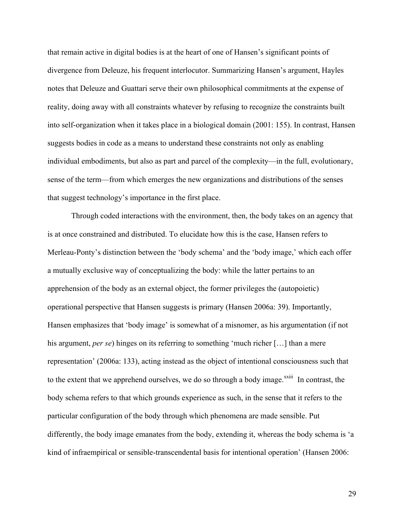that remain active in digital bodies is at the heart of one of Hansen's significant points of divergence from Deleuze, his frequent interlocutor. Summarizing Hansen's argument, Hayles notes that Deleuze and Guattari serve their own philosophical commitments at the expense of reality, doing away with all constraints whatever by refusing to recognize the constraints built into self-organization when it takes place in a biological domain (2001: 155). In contrast, Hansen suggests bodies in code as a means to understand these constraints not only as enabling individual embodiments, but also as part and parcel of the complexity—in the full, evolutionary, sense of the term—from which emerges the new organizations and distributions of the senses that suggest technology's importance in the first place.

Through coded interactions with the environment, then, the body takes on an agency that is at once constrained and distributed. To elucidate how this is the case, Hansen refers to Merleau-Ponty's distinction between the 'body schema' and the 'body image,' which each offer a mutually exclusive way of conceptualizing the body: while the latter pertains to an apprehension of the body as an external object, the former privileges the (autopoietic) operational perspective that Hansen suggests is primary (Hansen 2006a: 39). Importantly, Hansen emphasizes that 'body image' is somewhat of a misnomer, as his argumentation (if not his argument, *per se*) hinges on its referring to something 'much richer [...] than a mere representation' (2006a: 133), acting instead as the object of intentional consciousness such that to the extent that we apprehend ourselves, we do so through a body image.<sup>xxiii</sup> In contrast, the body schema refers to that which grounds experience as such, in the sense that it refers to the particular configuration of the body through which phenomena are made sensible. Put differently, the body image emanates from the body, extending it, whereas the body schema is 'a kind of infraempirical or sensible-transcendental basis for intentional operation' (Hansen 2006: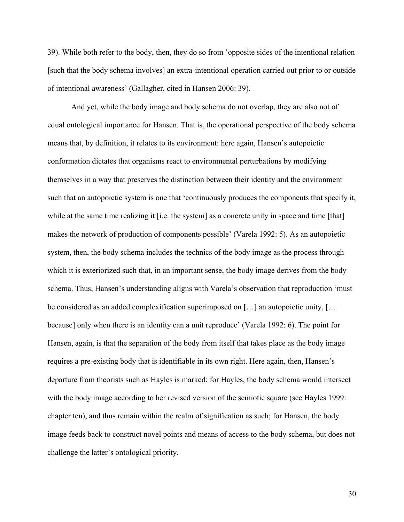39). While both refer to the body, then, they do so from 'opposite sides of the intentional relation [such that the body schema involves] an extra-intentional operation carried out prior to or outside of intentional awareness' (Gallagher, cited in Hansen 2006: 39).

And yet, while the body image and body schema do not overlap, they are also not of equal ontological importance for Hansen. That is, the operational perspective of the body schema means that, by definition, it relates to its environment: here again, Hansen's autopoietic conformation dictates that organisms react to environmental perturbations by modifying themselves in a way that preserves the distinction between their identity and the environment such that an autopoietic system is one that 'continuously produces the components that specify it, while at the same time realizing it [i.e. the system] as a concrete unity in space and time [that] makes the network of production of components possible' (Varela 1992: 5). As an autopoietic system, then, the body schema includes the technics of the body image as the process through which it is exteriorized such that, in an important sense, the body image derives from the body schema. Thus, Hansen's understanding aligns with Varela's observation that reproduction 'must be considered as an added complexification superimposed on [...] an autopoietic unity, [... because] only when there is an identity can a unit reproduce' (Varela 1992: 6). The point for Hansen, again, is that the separation of the body from itself that takes place as the body image requires a pre-existing body that is identifiable in its own right. Here again, then, Hansen's departure from theorists such as Hayles is marked: for Hayles, the body schema would intersect with the body image according to her revised version of the semiotic square (see Hayles 1999: chapter ten), and thus remain within the realm of signification as such; for Hansen, the body image feeds back to construct novel points and means of access to the body schema, but does not challenge the latter's ontological priority.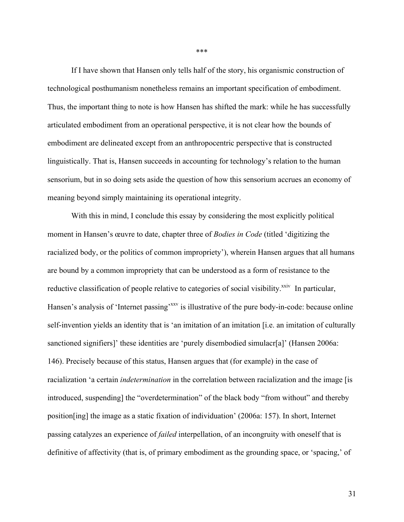If I have shown that Hansen only tells half of the story, his organismic construction of technological posthumanism nonetheless remains an important specification of embodiment. Thus, the important thing to note is how Hansen has shifted the mark: while he has successfully articulated embodiment from an operational perspective, it is not clear how the bounds of embodiment are delineated except from an anthropocentric perspective that is constructed linguistically. That is, Hansen succeeds in accounting for technology's relation to the human sensorium, but in so doing sets aside the question of how this sensorium accrues an economy of meaning beyond simply maintaining its operational integrity.

With this in mind, I conclude this essay by considering the most explicitly political moment in Hansen's œuvre to date, chapter three of *Bodies in Code* (titled 'digitizing the racialized body, or the politics of common impropriety'), wherein Hansen argues that all humans are bound by a common impropriety that can be understood as a form of resistance to the reductive classification of people relative to categories of social visibility.<sup>xxiv</sup> In particular, Hansen's analysis of 'Internet passing'<sup>xxv</sup> is illustrative of the pure body-in-code: because online self-invention yields an identity that is 'an imitation of an imitation [i.e. an imitation of culturally sanctioned signifiers]' these identities are 'purely disembodied simulacr[a]' (Hansen 2006a: 146). Precisely because of this status, Hansen argues that (for example) in the case of racialization 'a certain *indetermination* in the correlation between racialization and the image [is introduced, suspending] the "overdetermination" of the black body "from without" and thereby position[ing] the image as a static fixation of individuation' (2006a: 157). In short, Internet passing catalyzes an experience of *failed* interpellation, of an incongruity with oneself that is definitive of affectivity (that is, of primary embodiment as the grounding space, or 'spacing,' of

\*\*\*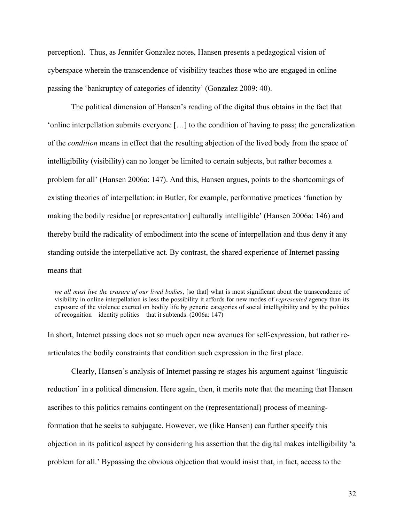perception). Thus, as Jennifer Gonzalez notes, Hansen presents a pedagogical vision of cyberspace wherein the transcendence of visibility teaches those who are engaged in online passing the 'bankruptcy of categories of identity' (Gonzalez 2009: 40).

The political dimension of Hansen's reading of the digital thus obtains in the fact that 'online interpellation submits everyone […] to the condition of having to pass; the generalization of the *condition* means in effect that the resulting abjection of the lived body from the space of intelligibility (visibility) can no longer be limited to certain subjects, but rather becomes a problem for all' (Hansen 2006a: 147). And this, Hansen argues, points to the shortcomings of existing theories of interpellation: in Butler, for example, performative practices 'function by making the bodily residue [or representation] culturally intelligible' (Hansen 2006a: 146) and thereby build the radicality of embodiment into the scene of interpellation and thus deny it any standing outside the interpellative act. By contrast, the shared experience of Internet passing means that

*we all must live the erasure of our lived bodies*, [so that] what is most significant about the transcendence of visibility in online interpellation is less the possibility it affords for new modes of *represented* agency than its exposure of the violence exerted on bodily life by generic categories of social intelligibility and by the politics of recognition—identity politics—that it subtends. (2006a: 147)

In short, Internet passing does not so much open new avenues for self-expression, but rather rearticulates the bodily constraints that condition such expression in the first place.

Clearly, Hansen's analysis of Internet passing re-stages his argument against 'linguistic reduction' in a political dimension. Here again, then, it merits note that the meaning that Hansen ascribes to this politics remains contingent on the (representational) process of meaningformation that he seeks to subjugate. However, we (like Hansen) can further specify this objection in its political aspect by considering his assertion that the digital makes intelligibility 'a problem for all.' Bypassing the obvious objection that would insist that, in fact, access to the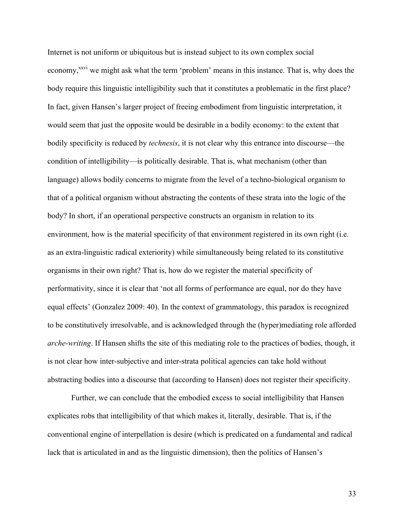Internet is not uniform or ubiquitous but is instead subject to its own complex social economy,<sup>xxvi</sup> we might ask what the term 'problem' means in this instance. That is, why does the body require this linguistic intelligibility such that it constitutes a problematic in the first place? In fact, given Hansen's larger project of freeing embodiment from linguistic interpretation, it would seem that just the opposite would be desirable in a bodily economy: to the extent that bodily specificity is reduced by *technesis*, it is not clear why this entrance into discourse—the condition of intelligibility—is politically desirable. That is, what mechanism (other than language) allows bodily concerns to migrate from the level of a techno-biological organism to that of a political organism without abstracting the contents of these strata into the logic of the body? In short, if an operational perspective constructs an organism in relation to its environment, how is the material specificity of that environment registered in its own right (i.e. as an extra-linguistic radical exteriority) while simultaneously being related to its constitutive organisms in their own right? That is, how do we register the material specificity of performativity, since it is clear that 'not all forms of performance are equal, nor do they have equal effects' (Gonzalez 2009: 40). In the context of grammatology, this paradox is recognized to be constitutively irresolvable, and is acknowledged through the (hyper)mediating role afforded *arche-writing*. If Hansen shifts the site of this mediating role to the practices of bodies, though, it is not clear how inter-subjective and inter-strata political agencies can take hold without abstracting bodies into a discourse that (according to Hansen) does not register their specificity.

Further, we can conclude that the embodied excess to social intelligibility that Hansen explicates robs that intelligibility of that which makes it, literally, desirable. That is, if the conventional engine of interpellation is desire (which is predicated on a fundamental and radical lack that is articulated in and as the linguistic dimension), then the politics of Hansen's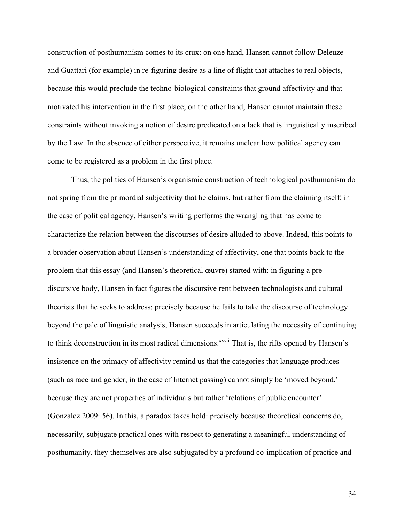construction of posthumanism comes to its crux: on one hand, Hansen cannot follow Deleuze and Guattari (for example) in re-figuring desire as a line of flight that attaches to real objects, because this would preclude the techno-biological constraints that ground affectivity and that motivated his intervention in the first place; on the other hand, Hansen cannot maintain these constraints without invoking a notion of desire predicated on a lack that is linguistically inscribed by the Law. In the absence of either perspective, it remains unclear how political agency can come to be registered as a problem in the first place.

Thus, the politics of Hansen's organismic construction of technological posthumanism do not spring from the primordial subjectivity that he claims, but rather from the claiming itself: in the case of political agency, Hansen's writing performs the wrangling that has come to characterize the relation between the discourses of desire alluded to above. Indeed, this points to a broader observation about Hansen's understanding of affectivity, one that points back to the problem that this essay (and Hansen's theoretical œuvre) started with: in figuring a prediscursive body, Hansen in fact figures the discursive rent between technologists and cultural theorists that he seeks to address: precisely because he fails to take the discourse of technology beyond the pale of linguistic analysis, Hansen succeeds in articulating the necessity of continuing to think deconstruction in its most radical dimensions.<sup>xxvii</sup> That is, the rifts opened by Hansen's insistence on the primacy of affectivity remind us that the categories that language produces (such as race and gender, in the case of Internet passing) cannot simply be 'moved beyond,' because they are not properties of individuals but rather 'relations of public encounter' (Gonzalez 2009: 56). In this, a paradox takes hold: precisely because theoretical concerns do, necessarily, subjugate practical ones with respect to generating a meaningful understanding of posthumanity, they themselves are also subjugated by a profound co-implication of practice and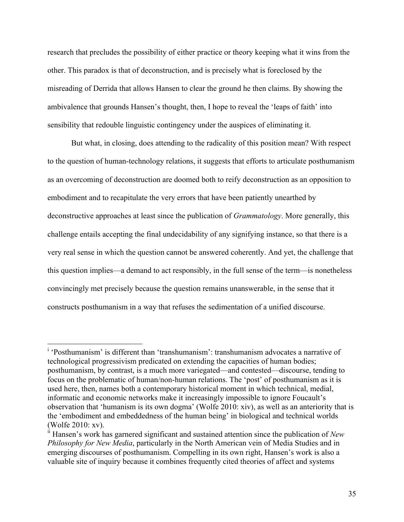research that precludes the possibility of either practice or theory keeping what it wins from the other. This paradox is that of deconstruction, and is precisely what is foreclosed by the misreading of Derrida that allows Hansen to clear the ground he then claims. By showing the ambivalence that grounds Hansen's thought, then, I hope to reveal the 'leaps of faith' into sensibility that redouble linguistic contingency under the auspices of eliminating it.

But what, in closing, does attending to the radicality of this position mean? With respect to the question of human-technology relations, it suggests that efforts to articulate posthumanism as an overcoming of deconstruction are doomed both to reify deconstruction as an opposition to embodiment and to recapitulate the very errors that have been patiently unearthed by deconstructive approaches at least since the publication of *Grammatology*. More generally, this challenge entails accepting the final undecidability of any signifying instance, so that there is a very real sense in which the question cannot be answered coherently. And yet, the challenge that this question implies—a demand to act responsibly, in the full sense of the term—is nonetheless convincingly met precisely because the question remains unanswerable, in the sense that it constructs posthumanism in a way that refuses the sedimentation of a unified discourse.

<sup>|&</sup>lt;br>i 'Posthumanism' is different than 'transhumanism': transhumanism advocates a narrative of technological progressivism predicated on extending the capacities of human bodies; posthumanism, by contrast, is a much more variegated—and contested—discourse, tending to focus on the problematic of human/non-human relations. The 'post' of posthumanism as it is used here, then, names both a contemporary historical moment in which technical, medial, informatic and economic networks make it increasingly impossible to ignore Foucault's observation that 'humanism is its own dogma' (Wolfe 2010: xiv), as well as an anteriority that is the 'embodiment and embeddedness of the human being' in biological and technical worlds

<sup>(</sup>Wolfe 2010: xv).<br><sup>ii</sup> Hansen's work has garnered significant and sustained attention since the publication of *New Philosophy for New Media*, particularly in the North American vein of Media Studies and in emerging discourses of posthumanism. Compelling in its own right, Hansen's work is also a valuable site of inquiry because it combines frequently cited theories of affect and systems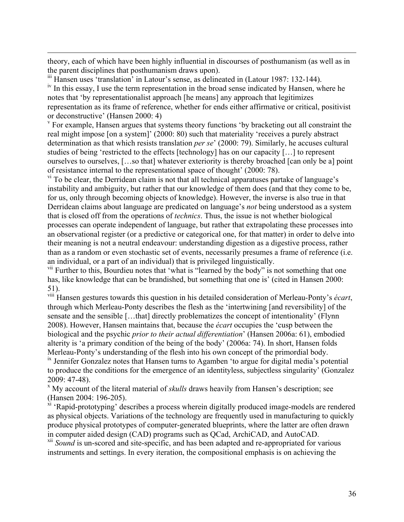theory, each of which have been highly influential in discourses of posthumanism (as well as in the parent disciplines that posthumanism draws upon).

 $\frac{1}{2}$  iii Hansen uses 'translation' in Latour's sense, as delineated in (Latour 1987: 132-144).<br><sup>iv</sup> In this essay, I use the term representation in the broad sense indicated by Hansen, where he

notes that 'by representationalist approach [he means] any approach that legitimizes representation as its frame of reference, whether for ends either affirmative or critical, positivist

or deconstructive' (Hansen 2000: 4)<br><sup>v</sup> For example, Hansen argues that systems theory functions 'by bracketing out all constraint the real might impose [on a system]' (2000: 80) such that materiality 'receives a purely abstract determination as that which resists translation *per se*' (2000: 79). Similarly, he accuses cultural studies of being 'restricted to the effects [technology] has on our capacity […] to represent ourselves to ourselves, […so that] whatever exteriority is thereby broached [can only be a] point of resistance internal to the representational space of thought' (2000: 78).

 $\overline{v}$ <sup>ri</sup> To be clear, the Derridean claim is not that all technical apparatuses partake of language's instability and ambiguity, but rather that our knowledge of them does (and that they come to be, for us, only through becoming objects of knowledge). However, the inverse is also true in that Derridean claims about language are predicated on language's *not* being understood as a system that is closed off from the operations of *technics*. Thus, the issue is not whether biological processes can operate independent of language, but rather that extrapolating these processes into an observational register (or a predictive or categorical one, for that matter) in order to delve into their meaning is not a neutral endeavour: understanding digestion as a digestive process, rather than as a random or even stochastic set of events, necessarily presumes a frame of reference (i.e. an individual, or a part of an individual) that is privileged linguistically.

<sup>vii</sup> Further to this, Bourdieu notes that 'what is "learned by the body" is not something that one has, like knowledge that can be brandished, but something that one is' (cited in Hansen 2000:

51). viii Hansen gestures towards this question in his detailed consideration of Merleau-Ponty's *écart*, through which Merleau-Ponty describes the flesh as the 'intertwining [and reversibility] of the sensate and the sensible […that] directly problematizes the concept of intentionality' (Flynn 2008). However, Hansen maintains that, because the *écart* occupies the 'cusp between the biological and the psychic *prior to their actual differentiation*' (Hansen 2006a: 61), embodied alterity is 'a primary condition of the being of the body' (2006a: 74). In short, Hansen folds Merleau-Ponty's understanding of the flesh into his own concept of the primordial body.  $\frac{1}{x}$  Jennifer Gonzalez notes that Hansen turns to Agamben 'to argue for digital media's potential to produce the conditions for the emergence of an identityless, subjectless singularity' (Gonzalez

 $\overline{a}$ 

2009: 47-48).<br><sup>x</sup> My account of the literal material of *skulls* draws heavily from Hansen's description; see

(Hansen 2004: 196-205). xi 'Rapid-prototyping' describes a process wherein digitally produced image-models are rendered as physical objects. Variations of the technology are frequently used in manufacturing to quickly produce physical prototypes of computer-generated blueprints, where the latter are often drawn in computer aided design (CAD) programs such as QCad, ArchiCAD, and AutoCAD.

<sup>xii</sup> *Sound* is un-scored and site-specific, and has been adapted and re-appropriated for various instruments and settings. In every iteration, the compositional emphasis is on achieving the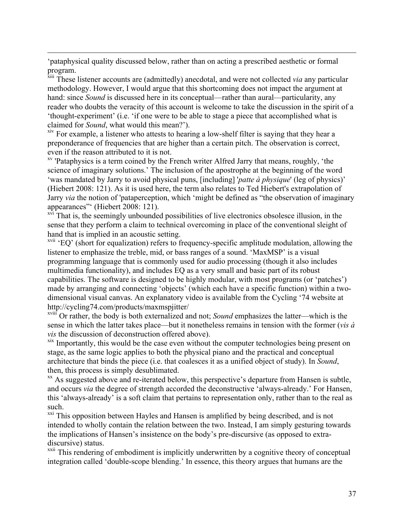'pataphysical quality discussed below, rather than on acting a prescribed aesthetic or formal program.

 $\overline{a}$ 

xiii These listener accounts are (admittedly) anecdotal, and were not collected *via* any particular methodology. However, I would argue that this shortcoming does not impact the argument at hand: since *Sound* is discussed here in its conceptual—rather than aural—particularity, any reader who doubts the veracity of this account is welcome to take the discussion in the spirit of a 'thought-experiment' (i.e. 'if one were to be able to stage a piece that accomplished what is claimed for *Sound*, what would this mean?').

<sup>xiv</sup> For example, a listener who attests to hearing a low-shelf filter is saying that they hear a preponderance of frequencies that are higher than a certain pitch. The observation is correct, even if the reason attributed to it is not.<br><sup>xv</sup> 'Pataphysics is a term coined by the French writer Alfred Jarry that means, roughly, 'the

science of imaginary solutions.' The inclusion of the apostrophe at the beginning of the word 'was mandated by Jarry to avoid physical puns, [including] '*patte à physique*' (leg of physics)' (Hiebert 2008: 121). As it is used here, the term also relates to Ted Hiebert's extrapolation of Jarry *via* the notion of 'pataperception, which 'might be defined as "the observation of imaginary appearances"<sup>'</sup> (Hiebert 2008: 121).<br><sup>xvi</sup> That is, the seemingly unbounded possibilities of live electronics obsolesce illusion, in the

sense that they perform a claim to technical overcoming in place of the conventional sleight of hand that is implied in an acoustic setting.

 $xvii$  'EQ' (short for equalization) refers to frequency-specific amplitude modulation, allowing the listener to emphasize the treble, mid, or bass ranges of a sound. 'MaxMSP' is a visual programming language that is commonly used for audio processing (though it also includes multimedia functionality), and includes EQ as a very small and basic part of its robust capabilities. The software is designed to be highly modular, with most programs (or 'patches') made by arranging and connecting 'objects' (which each have a specific function) within a twodimensional visual canvas. An explanatory video is available from the Cycling '74 website at http://cycling74.com/products/maxmspjitter/

xviii Or rather, the body is both externalized and not; *Sound* emphasizes the latter—which is the sense in which the latter takes place—but it nonetheless remains in tension with the former (*vis à vis* the discussion of deconstruction offered above).

xix Importantly, this would be the case even without the computer technologies being present on stage, as the same logic applies to both the physical piano and the practical and conceptual architecture that binds the piece (i.e. that coalesces it as a unified object of study). In *Sound*, then, this process is simply desublimated.

<sup>xx</sup> As suggested above and re-iterated below, this perspective's departure from Hansen is subtle, and occurs *via* the degree of strength accorded the deconstructive 'always-already.' For Hansen, this 'always-already' is a soft claim that pertains to representation only, rather than to the real as such.

<sup>xxi</sup> This opposition between Hayles and Hansen is amplified by being described, and is not intended to wholly contain the relation between the two. Instead, I am simply gesturing towards the implications of Hansen's insistence on the body's pre-discursive (as opposed to extradiscursive) status.<br><sup>xxii</sup> This rendering of embodiment is implicitly underwritten by a cognitive theory of conceptual

integration called 'double-scope blending.' In essence, this theory argues that humans are the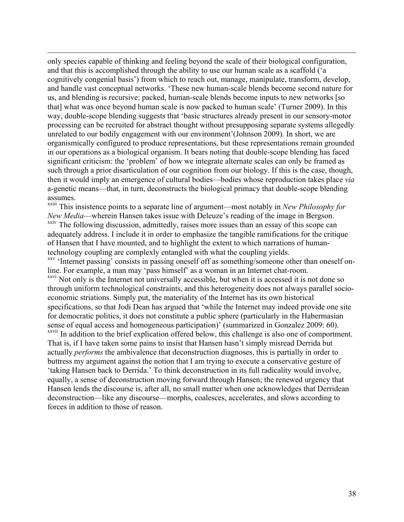only species capable of thinking and feeling beyond the scale of their biological configuration, and that this is accomplished through the ability to use our human scale as a scaffold ('a cognitively congenial basis') from which to reach out, manage, manipulate, transform, develop, and handle vast conceptual networks. 'These new human-scale blends become second nature for us, and blending is recursive: packed, human-scale blends become inputs to new networks [so that] what was once beyond human scale is now packed to human scale' (Turner 2009). In this way, double-scope blending suggests that 'basic structures already present in our sensory-motor processing can be recruited for abstract thought without presupposing separate systems allegedly unrelated to our bodily engagement with our environment'(Johnson 2009). In short, we are organismically configured to produce representations, but these representations remain grounded in our operations as a biological organism. It bears noting that double-scope blending has faced significant criticism: the 'problem' of how we integrate alternate scales can only be framed as such through a prior disarticulation of our cognition from our biology. If this is the case, though, then it would imply an emergence of cultural bodies—bodies whose reproduction takes place *via* a-genetic means—that, in turn, deconstructs the biological primacy that double-scope blending assumes.

 $\overline{a}$ 

xxiii This insistence points to a separate line of argument—most notably in *New Philosophy for New Media*—wherein Hansen takes issue with Deleuze's reading of the image in Bergson. xxiv The following discussion, admittedly, raises more issues than an essay of this scope can adequately address. I include it in order to emphasize the tangible ramifications for the critique of Hansen that I have mounted, and to highlight the extent to which narrations of humantechnology coupling are complexly entangled with what the coupling yields.

xxv 'Internet passing' consists in passing oneself off as something/someone other than oneself online. For example, a man may 'pass himself' as a woman in an Internet chat-room. <sup>xxvi</sup> Not only is the Internet not universally accessible, but when it is accessed it is not done so through uniform technological constraints, and this heterogeneity does not always parallel socioeconomic striations. Simply put, the materiality of the Internet has its own historical specifications, so that Jodi Dean has argued that 'while the Internet may indeed provide one site for democratic politics, it does not constitute a public sphere (particularly in the Habermasian sense of equal access and homogeneous participation)' (summarized in Gonzalez 2009: 60).<br><sup>xxvii</sup> In addition to the brief explication offered below, this challenge is also one of comportment. That is, if I have taken some pains to insist that Hansen hasn't simply misread Derrida but actually *performs* the ambivalence that deconstruction diagnoses, this is partially in order to buttress my argument against the notion that I am trying to execute a conservative gesture of 'taking Hansen back to Derrida.' To think deconstruction in its full radicality would involve, equally, a sense of deconstruction moving forward through Hansen; the renewed urgency that Hansen lends the discourse is, after all, no small matter when one acknowledges that Derridean deconstruction—like any discourse—morphs, coalesces, accelerates, and slows according to forces in addition to those of reason.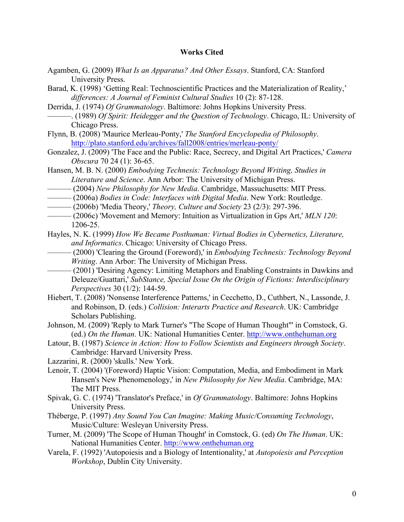### **Works Cited**

- Agamben, G. (2009) *What Is an Apparatus? And Other Essays*. Stanford, CA: Stanford University Press.
- Barad, K. (1998) 'Getting Real: Technoscientific Practices and the Materialization of Reality,' *differences: A Journal of Feminist Cultural Studies* 10 (2): 87-128.
- Derrida, J. (1974) *Of Grammatology*. Baltimore: Johns Hopkins University Press.
- ———. (1989) *Of Spirit: Heidegger and the Question of Technology*. Chicago, IL: University of Chicago Press.
- Flynn, B. (2008) 'Maurice Merleau-Ponty,' *The Stanford Encyclopedia of Philosophy*. http://plato.stanford.edu/archives/fall2008/entries/merleau-ponty/
- Gonzalez, J. (2009) 'The Face and the Public: Race, Secrecy, and Digital Art Practices,' *Camera Obscura* 70 24 (1): 36-65.
- Hansen, M. B. N. (2000) *Embodying Technesis: Technology Beyond Writing, Studies in Literature and Science*. Ann Arbor: The University of Michigan Press.
- ——— (2004) *New Philosophy for New Media*. Cambridge, Massuchusetts: MIT Press.
- ——— (2006a) *Bodies in Code: Interfaces with Digital Media*. New York: Routledge.
- ——— (2006b) 'Media Theory,' *Theory, Culture and Society* 23 (2/3): 297-396.
- ——— (2006c) 'Movement and Memory: Intuition as Virtualization in Gps Art,' *MLN 120*: 1206-25.
- Hayles, N. K. (1999) *How We Became Posthuman: Virtual Bodies in Cybernetics, Literature, and Informatics*. Chicago: University of Chicago Press.
- ——— (2000) 'Clearing the Ground (Foreword),' in *Embodying Technesis: Technology Beyond Writing*. Ann Arbor: The University of Michigan Press.
- ——— (2001) 'Desiring Agency: Limiting Metaphors and Enabling Constraints in Dawkins and Deleuze/Guattari,' *SubStance, Special Issue On the Origin of Fictions: Interdisciplinary Perspectives* 30 (1/2): 144-59.
- Hiebert, T. (2008) 'Nonsense Interference Patterns,' in Cecchetto, D., Cuthbert, N., Lassonde, J. and Robinson, D. (eds.) *Collision: Interarts Practice and Research*. UK: Cambridge Scholars Publishing.
- Johnson, M. (2009) 'Reply to Mark Turner's "The Scope of Human Thought"' in Comstock, G. (ed.) *On the Human*. UK: National Humanities Center. http://www.onthehuman.org
- Latour, B. (1987) *Science in Action: How to Follow Scientists and Engineers through Society*. Cambridge: Harvard University Press.
- Lazzarini, R. (2000) 'skulls.' New York.
- Lenoir, T. (2004) '(Foreword) Haptic Vision: Computation, Media, and Embodiment in Mark Hansen's New Phenomenology,' in *New Philosophy for New Media*. Cambridge, MA: The MIT Press.
- Spivak, G. C. (1974) 'Translator's Preface,' in *Of Grammatology*. Baltimore: Johns Hopkins University Press.
- Théberge, P. (1997) *Any Sound You Can Imagine: Making Music/Consuming Technology*, Music/Culture: Wesleyan University Press.
- Turner, M. (2009) 'The Scope of Human Thought' in Comstock, G. (ed) *On The Human*. UK: National Humanities Center. http://www.onthehuman.org
- Varela, F. (1992) 'Autopoiesis and a Biology of Intentionality,' at *Autopoiesis and Perception Workshop*, Dublin City University.